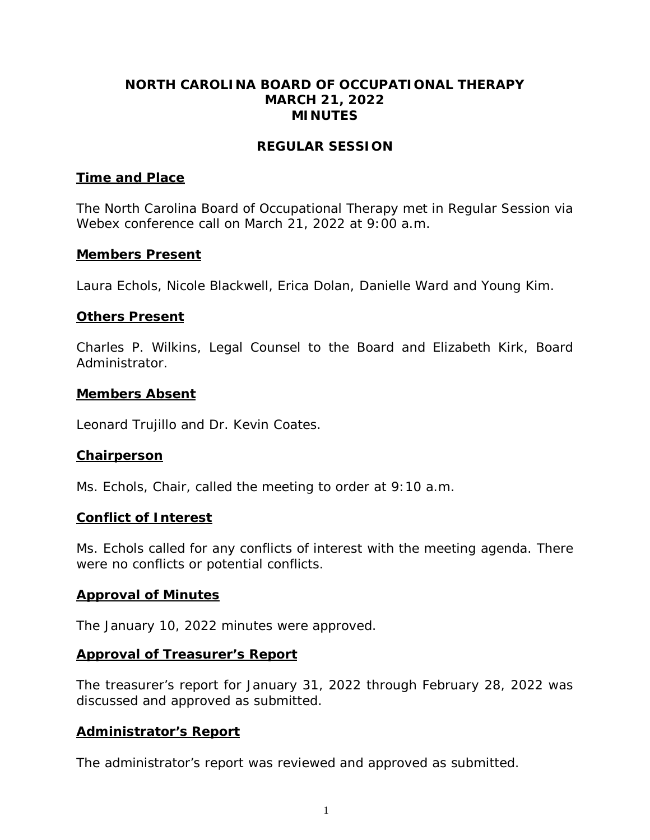### **NORTH CAROLINA BOARD OF OCCUPATIONAL THERAPY MARCH 21, 2022 MINUTES**

### **REGULAR SESSION**

### **Time and Place**

The North Carolina Board of Occupational Therapy met in Regular Session via Webex conference call on March 21, 2022 at 9:00 a.m.

### **Members Present**

Laura Echols, Nicole Blackwell, Erica Dolan, Danielle Ward and Young Kim.

### **Others Present**

Charles P. Wilkins, Legal Counsel to the Board and Elizabeth Kirk, Board Administrator.

### **Members Absent**

Leonard Trujillo and Dr. Kevin Coates.

### **Chairperson**

Ms. Echols, Chair, called the meeting to order at 9:10 a.m.

### **Conflict of Interest**

Ms. Echols called for any conflicts of interest with the meeting agenda. There were no conflicts or potential conflicts.

### **Approval of Minutes**

The January 10, 2022 minutes were approved.

### **Approval of Treasurer's Report**

The treasurer's report for January 31, 2022 through February 28, 2022 was discussed and approved as submitted.

### **Administrator's Report**

The administrator's report was reviewed and approved as submitted.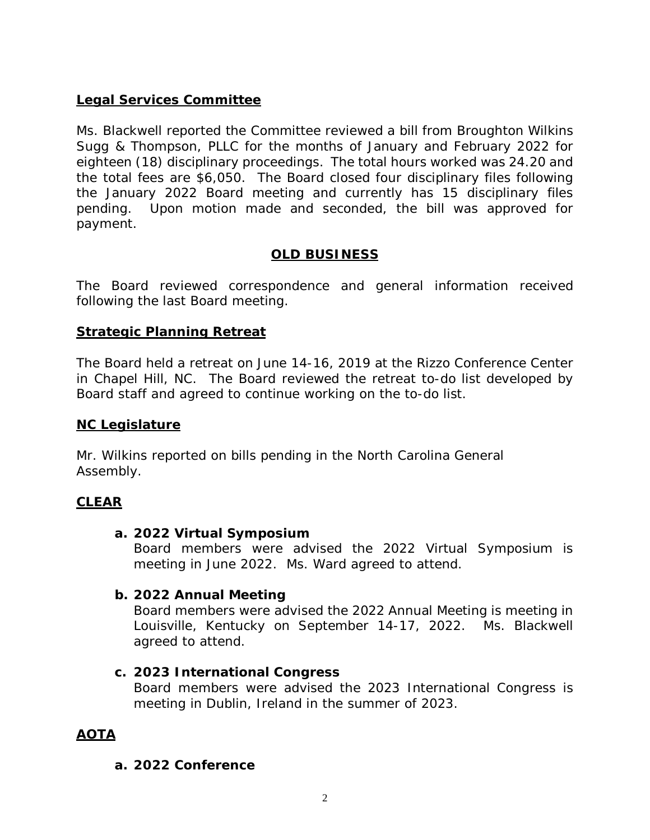# **Legal Services Committee**

Ms. Blackwell reported the Committee reviewed a bill from Broughton Wilkins Sugg & Thompson, PLLC for the months of January and February 2022 for eighteen (18) disciplinary proceedings. The total hours worked was 24.20 and the total fees are \$6,050. The Board closed four disciplinary files following the January 2022 Board meeting and currently has 15 disciplinary files pending. Upon motion made and seconded, the bill was approved for payment.

# **OLD BUSINESS**

The Board reviewed correspondence and general information received following the last Board meeting.

# **Strategic Planning Retreat**

The Board held a retreat on June 14-16, 2019 at the Rizzo Conference Center in Chapel Hill, NC. The Board reviewed the retreat to-do list developed by Board staff and agreed to continue working on the to-do list.

### **NC Legislature**

Mr. Wilkins reported on bills pending in the North Carolina General Assembly.

### **CLEAR**

### **a. 2022 Virtual Symposium**

Board members were advised the 2022 Virtual Symposium is meeting in June 2022. Ms. Ward agreed to attend.

### **b. 2022 Annual Meeting**

Board members were advised the 2022 Annual Meeting is meeting in Louisville, Kentucky on September 14-17, 2022. Ms. Blackwell agreed to attend.

### **c. 2023 International Congress**

Board members were advised the 2023 International Congress is meeting in Dublin, Ireland in the summer of 2023.

# **AOTA**

### **a. 2022 Conference**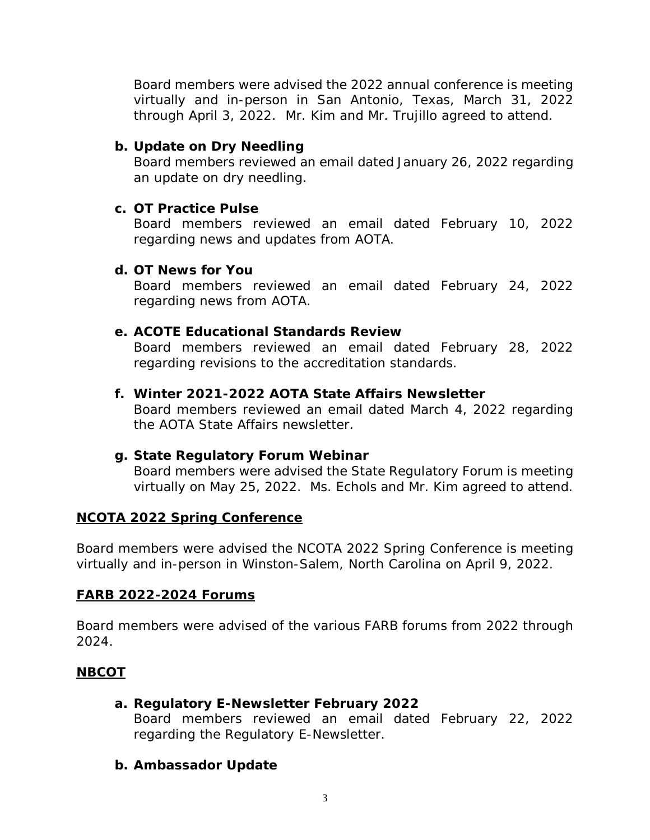Board members were advised the 2022 annual conference is meeting virtually and in-person in San Antonio, Texas, March 31, 2022 through April 3, 2022. Mr. Kim and Mr. Trujillo agreed to attend.

# **b. Update on Dry Needling**

Board members reviewed an email dated January 26, 2022 regarding an update on dry needling.

# **c. OT Practice Pulse**

Board members reviewed an email dated February 10, 2022 regarding news and updates from AOTA.

# **d. OT News for You**

Board members reviewed an email dated February 24, 2022 regarding news from AOTA.

# **e. ACOTE Educational Standards Review**

Board members reviewed an email dated February 28, 2022 regarding revisions to the accreditation standards.

# **f. Winter 2021-2022 AOTA State Affairs Newsletter**

Board members reviewed an email dated March 4, 2022 regarding the AOTA State Affairs newsletter.

# **g. State Regulatory Forum Webinar**

Board members were advised the State Regulatory Forum is meeting virtually on May 25, 2022. Ms. Echols and Mr. Kim agreed to attend.

# **NCOTA 2022 Spring Conference**

Board members were advised the NCOTA 2022 Spring Conference is meeting virtually and in-person in Winston-Salem, North Carolina on April 9, 2022.

# **FARB 2022-2024 Forums**

Board members were advised of the various FARB forums from 2022 through 2024.

# **NBCOT**

# **a. Regulatory E-Newsletter February 2022**

Board members reviewed an email dated February 22, 2022 regarding the Regulatory E-Newsletter.

# **b. Ambassador Update**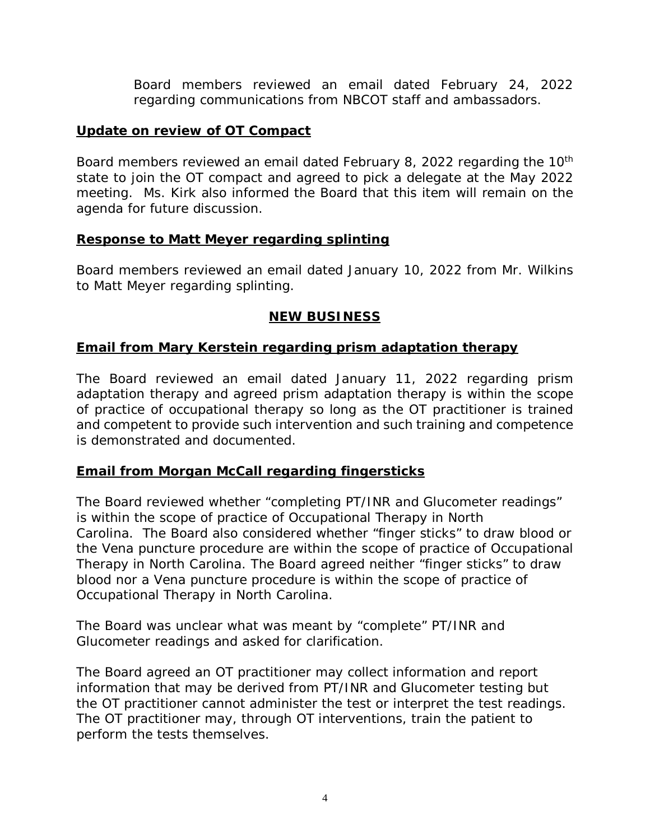Board members reviewed an email dated February 24, 2022 regarding communications from NBCOT staff and ambassadors.

### **Update on review of OT Compact**

Board members reviewed an email dated February 8, 2022 regarding the 10<sup>th</sup> state to join the OT compact and agreed to pick a delegate at the May 2022 meeting. Ms. Kirk also informed the Board that this item will remain on the agenda for future discussion.

### **Response to Matt Meyer regarding splinting**

Board members reviewed an email dated January 10, 2022 from Mr. Wilkins to Matt Meyer regarding splinting.

# **NEW BUSINESS**

### **Email from Mary Kerstein regarding prism adaptation therapy**

The Board reviewed an email dated January 11, 2022 regarding prism adaptation therapy and agreed prism adaptation therapy is within the scope of practice of occupational therapy so long as the OT practitioner is trained and competent to provide such intervention and such training and competence is demonstrated and documented.

# **Email from Morgan McCall regarding fingersticks**

The Board reviewed whether "completing PT/INR and Glucometer readings" is within the scope of practice of Occupational Therapy in North Carolina. The Board also considered whether "finger sticks" to draw blood or the Vena puncture procedure are within the scope of practice of Occupational Therapy in North Carolina. The Board agreed neither "finger sticks" to draw blood nor a Vena puncture procedure is within the scope of practice of Occupational Therapy in North Carolina.

The Board was unclear what was meant by "complete" PT/INR and Glucometer readings and asked for clarification.

The Board agreed an OT practitioner may collect information and report information that may be derived from PT/INR and Glucometer testing but the OT practitioner cannot administer the test or interpret the test readings. The OT practitioner may, through OT interventions, train the patient to perform the tests themselves.